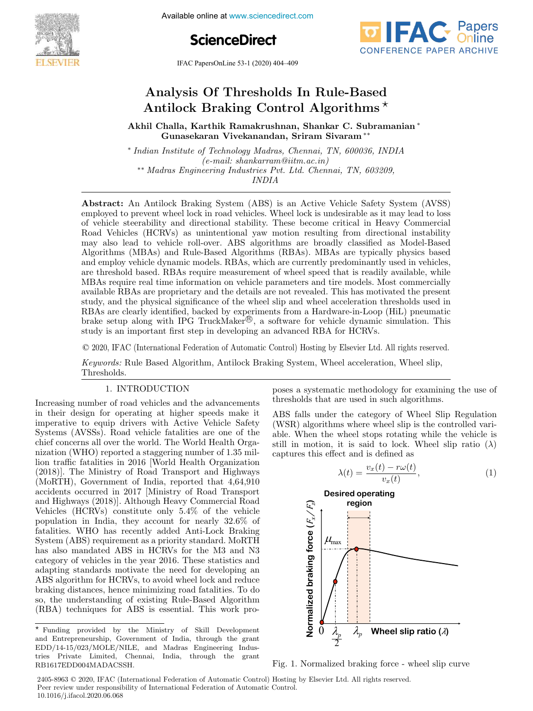

IFAC PapersOnLine 53-1 (2020) 404–409



# Analysis Of Thresholds In Rule-Based<br>Antilock Braking Control Algorithms\*<br>1 Challa, Karthik Ramakrushnan, Shankar C. Subran<br>6 Gunasekaran Vivekanandan, Sriram Sivaram\*\* Antilock Braking Control Algorithms<sup>\*</sup>

Akhil Challa, Karthik Ramakrushnan, Shankar C. Subramanian <sup>∗</sup>

∗ *Indian Institute of Technology Madras, Chennai, TN, 600036, INDIA (e-mail: shankarram@iitm.ac.in)* ∗∗ *Madras Engineering Industries Pvt. Ltd. Chennai, TN, 603209, INDIA*

Abstract: An Antilock Braking System (ABS) is an Active Vehicle Safety System (AVSS) employed to prevent wheel lock in road vehicles. Wheel lock is undesirable as it may lead to loss of vehicle steerability and directional stability. These become critical in Heavy Commercial Road Vehicles (HCRVs) as unintentional yaw motion resulting from directional instability may also lead to vehicle roll-over. ABS algorithms are broadly classified as Model-Based Algorithms (MBAs) and Rule-Based Algorithms (RBAs). MBAs are typically physics based and employ vehicle dynamic models. RBAs, which are currently predominantly used in vehicles, are threshold based. RBAs require measurement of wheel speed that is readily available, while MBAs require real time information on vehicle parameters and tire models. Most commercially available RBAs are proprietary and the details are not revealed. This has motivated the present study, and the physical significance of the wheel slip and wheel acceleration thresholds used in RBAs are clearly identified, backed by experiments from a Hardware-in-Loop (HiL) pneumatic brake setup along with IPG TruckMaker $\mathcal{B}$ , a software for vehicle dynamic simulation. This study is an important first step in developing an advanced RBA for HCRVs.

© 2020, IFAC (International Federation of Automatic Control) Hosting by Elsevier Ltd. All rights reserved.

*Keywords:* Rule Based Algorithm, Antilock Braking System, Wheel acceleration, Wheel slip, Thresholds.

# 1. INTRODUCTION

Increasing number of road vehicles and the advancements in their design for operating at higher speeds make it imperative to equip drivers with Active Vehicle Safety Systems (AVSSs). Road vehicle fatalities are one of the chief concerns all over the world. The World Health Organization (WHO) reported a staggering number of 1.35 million traffic fatalities in 2016 [World Health Organization (2018)]. The Ministry of Road Transport and Highways (MoRTH), Government of India, reported that 4,64,910 accidents occurred in 2017 [Ministry of Road Transport and Highways (2018)]. Although Heavy Commercial Road Vehicles (HCRVs) constitute only 5.4% of the vehicle population in India, they account for nearly 32.6% of fatalities. WHO has recently added Anti-Lock Braking System (ABS) requirement as a priority standard. MoRTH has also mandated ABS in HCRVs for the M3 and N3 category of vehicles in the year 2016. These statistics and adapting standards motivate the need for developing an ABS algorithm for HCRVs, to avoid wheel lock and reduce braking distances, hence minimizing road fatalities. To do so, the understanding of existing Rule-Based Algorithm (RBA) techniques for ABS is essential. This work proposes a systematic methodology for examining the use of thresholds that are used in such algorithms.

ABS falls under the category of Wheel Slip Regulation (WSR) algorithms where wheel slip is the controlled variable. When the wheel stops rotating while the vehicle is still in motion, it is said to lock. Wheel slip ratio  $(\lambda)$ captures this effect and is defined as

$$
\lambda(t) = \frac{v_x(t) - r\omega(t)}{v_x(t)},\tag{1}
$$



Fig. 1. Normalized braking force - wheel slip curve

2405-8963 © 2020, IFAC (International Federation of Automatic Control) Hosting by Elsevier Ltd. All rights reserved. Peer review under responsibility of International Federation of Automatic Control. 10.1016/j.ifacol.2020.06.068

 $^\star$  Funding provided by the Ministry of Skill Development and Entrepreneurship, Government of India, through the grant EDD/14-15/023/MOLE/NILE, and Madras Engineering Industries Private Limited, Chennai, India, through the grant RB1617EDD004MADACSSH.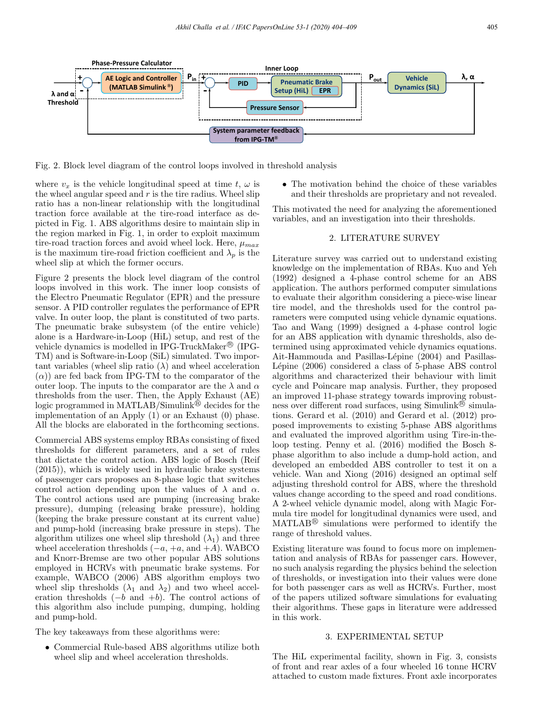

Fig. 2. Block level diagram of the control loops involved in threshold analysis

where  $v_x$  is the vehicle longitudinal speed at time t,  $\omega$  is the wheel angular speed and  $r$  is the tire radius. Wheel slip ratio has a non-linear relationship with the longitudinal traction force available at the tire-road interface as depicted in Fig. 1. ABS algorithms desire to maintain slip in the region marked in Fig. 1, in order to exploit maximum tire-road traction forces and avoid wheel lock. Here,  $\mu_{max}$ is the maximum tire-road friction coefficient and  $\lambda_p$  is the wheel slip at which the former occurs.

Figure 2 presents the block level diagram of the control loops involved in this work. The inner loop consists of the Electro Pneumatic Regulator (EPR) and the pressure sensor. A PID controller regulates the performance of EPR valve. In outer loop, the plant is constituted of two parts. The pneumatic brake subsystem (of the entire vehicle) alone is a Hardware-in-Loop (HiL) setup, and rest of the vehicle dynamics is modelled in IPG-TruckMaker® (IPG-TM) and is Software-in-Loop (SiL) simulated. Two important variables (wheel slip ratio  $(\lambda)$  and wheel acceleration  $(\alpha)$  are fed back from IPG-TM to the comparator of the outer loop. The inputs to the comparator are the  $\lambda$  and  $\alpha$ thresholds from the user. Then, the Apply Exhaust (AE) logic programmed in MATLAB/Simulink<sup>®</sup> decides for the implementation of an Apply (1) or an Exhaust (0) phase. All the blocks are elaborated in the forthcoming sections.

Commercial ABS systems employ RBAs consisting of fixed thresholds for different parameters, and a set of rules that dictate the control action. ABS logic of Bosch (Reif (2015)), which is widely used in hydraulic brake systems of passenger cars proposes an 8-phase logic that switches control action depending upon the values of  $\lambda$  and  $\alpha$ . The control actions used are pumping (increasing brake pressure), dumping (releasing brake pressure), holding (keeping the brake pressure constant at its current value) and pump-hold (increasing brake pressure in steps). The algorithm utilizes one wheel slip threshold  $(\lambda_1)$  and three wheel acceleration thresholds  $(-a, +a, \text{ and } +A)$ . WABCO and Knorr-Bremse are two other popular ABS solutions employed in HCRVs with pneumatic brake systems. For example, WABCO (2006) ABS algorithm employs two wheel slip thresholds  $(\lambda_1 \text{ and } \lambda_2)$  and two wheel acceleration thresholds  $(-b \text{ and } +b)$ . The control actions of this algorithm also include pumping, dumping, holding and pump-hold.

The key takeaways from these algorithms were:

• Commercial Rule-based ABS algorithms utilize both wheel slip and wheel acceleration thresholds.

• The motivation behind the choice of these variables and their thresholds are proprietary and not revealed.

This motivated the need for analyzing the aforementioned variables, and an investigation into their thresholds.

## 2. LITERATURE SURVEY

Literature survey was carried out to understand existing knowledge on the implementation of RBAs. Kuo and Yeh (1992) designed a 4-phase control scheme for an ABS application. The authors performed computer simulations to evaluate their algorithm considering a piece-wise linear tire model, and the thresholds used for the control parameters were computed using vehicle dynamic equations. Tao and Wang (1999) designed a 4-phase control logic for an ABS application with dynamic thresholds, also determined using approximated vehicle dynamics equations. Ait-Hammouda and Pasillas-Lépine (2004) and Pasillas-Lépine (2006) considered a class of 5-phase ABS control algorithms and characterized their behaviour with limit cycle and Poincare map analysis. Further, they proposed an improved 11-phase strategy towards improving robustness over different road surfaces, using Simulink<sup>®</sup> simulations. Gerard et al. (2010) and Gerard et al. (2012) proposed improvements to existing 5-phase ABS algorithms and evaluated the improved algorithm using Tire-in-theloop testing. Penny et al. (2016) modified the Bosch 8 phase algorithm to also include a dump-hold action, and developed an embedded ABS controller to test it on a vehicle. Wan and Xiong (2016) designed an optimal self adjusting threshold control for ABS, where the threshold values change according to the speed and road conditions. A 2-wheel vehicle dynamic model, along with Magic Formula tire model for longitudinal dynamics were used, and  $\text{MATLAB}$ <sup>®</sup> simulations were performed to identify the range of threshold values.

Existing literature was found to focus more on implementation and analysis of RBAs for passenger cars. However, no such analysis regarding the physics behind the selection of thresholds, or investigation into their values were done for both passenger cars as well as HCRVs. Further, most of the papers utilized software simulations for evaluating their algorithms. These gaps in literature were addressed in this work.

#### 3. EXPERIMENTAL SETUP

The HiL experimental facility, shown in Fig. 3, consists of front and rear axles of a four wheeled 16 tonne HCRV attached to custom made fixtures. Front axle incorporates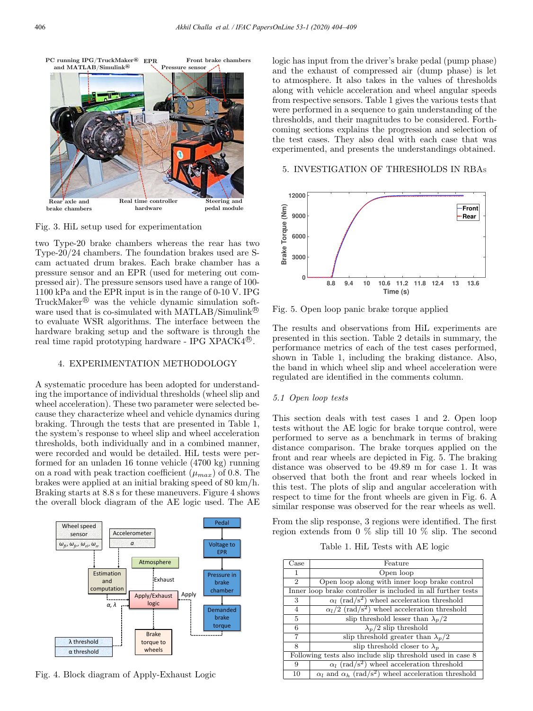**PC running IPG/TruckMaker® and MATLAB/Simulink® EPR Front brake chambers Pressure sensor**



Fig. 3. HiL setup used for experimentation

two Type-20 brake chambers whereas the rear has two Type-20/24 chambers. The foundation brakes used are Scam actuated drum brakes. Each brake chamber has a pressure sensor and an EPR (used for metering out compressed air). The pressure sensors used have a range of 100- 1100 kPa and the EPR input is in the range of 0-10 V. IPG TruckMaker<sup>®</sup> was the vehicle dynamic simulation software used that is co-simulated with MATLAB/Simulink $^{\circledR}$ to evaluate WSR algorithms. The interface between the hardware braking setup and the software is through the real time rapid prototyping hardware - IPG XPACK4<sup>®</sup>.

## 4. EXPERIMENTATION METHODOLOGY

A systematic procedure has been adopted for understanding the importance of individual thresholds (wheel slip and wheel acceleration). These two parameter were selected because they characterize wheel and vehicle dynamics during braking. Through the tests that are presented in Table 1, the system's response to wheel slip and wheel acceleration thresholds, both individually and in a combined manner, were recorded and would be detailed. HiL tests were performed for an unladen 16 tonne vehicle (4700 kg) running on a road with peak traction coefficient  $(\mu_{max})$  of 0.8. The brakes were applied at an initial braking speed of 80 km/h. Braking starts at 8.8 s for these maneuvers. Figure 4 shows the overall block diagram of the AE logic used. The AE



Fig. 4. Block diagram of Apply-Exhaust Logic

logic has input from the driver's brake pedal (pump phase) and the exhaust of compressed air (dump phase) is let to atmosphere. It also takes in the values of thresholds along with vehicle acceleration and wheel angular speeds from respective sensors. Table 1 gives the various tests that were performed in a sequence to gain understanding of the thresholds, and their magnitudes to be considered. Forthcoming sections explains the progression and selection of the test cases. They also deal with each case that was experimented, and presents the understandings obtained.

## 5. INVESTIGATION OF THRESHOLDS IN RBA<sup>S</sup>



Fig. 5. Open loop panic brake torque applied

The results and observations from HiL experiments are presented in this section. Table 2 details in summary, the performance metrics of each of the test cases performed, shown in Table 1, including the braking distance. Also, the band in which wheel slip and wheel acceleration were regulated are identified in the comments column.

# *5.1 Open loop tests*

This section deals with test cases 1 and 2. Open loop tests without the AE logic for brake torque control, were performed to serve as a benchmark in terms of braking distance comparison. The brake torques applied on the front and rear wheels are depicted in Fig. 5. The braking distance was observed to be 49.89 m for case 1. It was observed that both the front and rear wheels locked in this test. The plots of slip and angular acceleration with respect to time for the front wheels are given in Fig. 6. A similar response was observed for the rear wheels as well.

From the slip response, 3 regions were identified. The first region extends from 0 % slip till 10 % slip. The second

| Table 1. HiL Tests with AE logic |  |  |  |  |  |  |
|----------------------------------|--|--|--|--|--|--|
|----------------------------------|--|--|--|--|--|--|

| Case                                                       | Feature                                                                      |  |  |  |
|------------------------------------------------------------|------------------------------------------------------------------------------|--|--|--|
| 1.                                                         | Open loop                                                                    |  |  |  |
| $\overline{2}$                                             | Open loop along with inner loop brake control                                |  |  |  |
|                                                            | Inner loop brake controller is included in all further tests                 |  |  |  |
| 3                                                          | $\alpha_l$ (rad/s <sup>2</sup> ) wheel acceleration threshold                |  |  |  |
| $\overline{4}$                                             | $\alpha_l/2$ (rad/s <sup>2</sup> ) wheel acceleration threshold              |  |  |  |
| 5                                                          | slip threshold lesser than $\lambda_n/2$                                     |  |  |  |
| 6                                                          | $\lambda_p/2$ slip threshold                                                 |  |  |  |
| 7                                                          | slip threshold greater than $\lambda_p/2$                                    |  |  |  |
| 8                                                          | slip threshold closer to $\lambda_n$                                         |  |  |  |
| Following tests also include slip threshold used in case 8 |                                                                              |  |  |  |
| 9                                                          | $\alpha_l$ (rad/s <sup>2</sup> ) wheel acceleration threshold                |  |  |  |
| 10                                                         | $\alpha_l$ and $\alpha_h$ (rad/s <sup>2</sup> ) wheel acceleration threshold |  |  |  |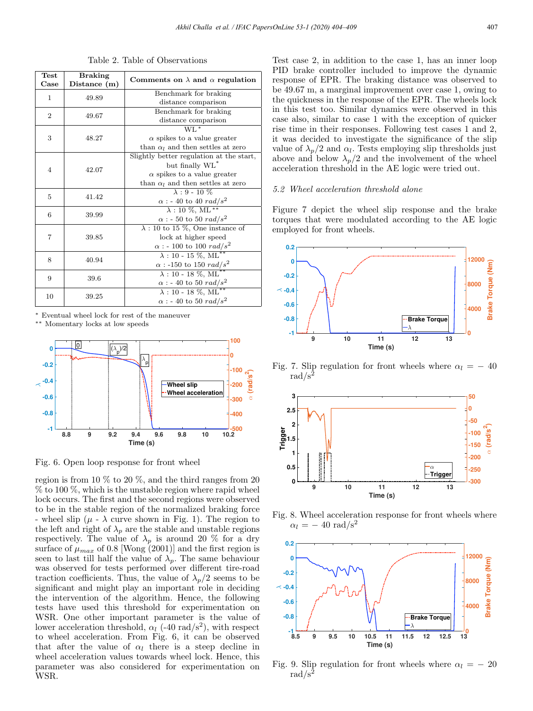Table 2. Table of Observations

| <b>Test</b><br>Case | <b>Braking</b><br>Distance $(m)$ | Comments on $\lambda$ and $\alpha$ regulation |  |  |
|---------------------|----------------------------------|-----------------------------------------------|--|--|
| $\mathbf{1}$        |                                  | Benchmark for braking                         |  |  |
|                     | 49.89                            | distance comparison                           |  |  |
| $\overline{2}$      | 49.67                            | Benchmark for braking                         |  |  |
|                     |                                  | distance comparison                           |  |  |
| 3                   |                                  | $W1.*$                                        |  |  |
|                     | 48.27                            | $\alpha$ spikes to a value greater            |  |  |
|                     |                                  | than $\alpha_l$ and then settles at zero      |  |  |
| 4                   |                                  | Slightly better regulation at the start,      |  |  |
|                     | 42.07                            | but finally WL <sup>*</sup>                   |  |  |
|                     |                                  | $\alpha$ spikes to a value greater            |  |  |
|                     |                                  | than $\alpha_l$ and then settles at zero      |  |  |
| 5                   | 41.42                            | $\lambda: 9 - 10\%$                           |  |  |
|                     |                                  | $\alpha$ : - 40 to 40 rad/s <sup>2</sup>      |  |  |
| 6                   | 39.99                            | $\lambda:10\%$ , ML**                         |  |  |
|                     |                                  | $\alpha$ : - 50 to 50 $rad/s^2$               |  |  |
| 7                   |                                  | $\lambda$ : 10 to 15 %, One instance of       |  |  |
|                     | 39.85                            | lock at higher speed                          |  |  |
|                     |                                  | $\alpha$ : - 100 to 100 $rad/s^2$             |  |  |
| 8                   | 40.94                            | $\lambda: 10 - 15\%$ , ML**                   |  |  |
|                     |                                  | $\alpha$ : -150 to 150 $rad/s^2$              |  |  |
| 9                   | 39.6                             | $\lambda: 10 - 18\%$ , ML**                   |  |  |
|                     |                                  | $\alpha$ : - 40 to 50 $rad/s^2$               |  |  |
| 10                  | 39.25                            | $\lambda: 10 - 18\%$ , ML <sup>**</sup>       |  |  |
|                     |                                  | $\alpha$ : - 40 to 50 $rad/s^2$               |  |  |

<sup>∗</sup> Eventual wheel lock for rest of the maneuver ∗∗ Momentary locks at low speeds



Fig. 6. Open loop response for front wheel

region is from 10 % to 20 %, and the third ranges from 20 % to 100 %, which is the unstable region where rapid wheel lock occurs. The first and the second regions were observed to be in the stable region of the normalized braking force - wheel slip ( $\mu$  -  $\lambda$  curve shown in Fig. 1). The region to the left and right of  $\lambda_p$  are the stable and unstable regions respectively. The value of  $\lambda_p$  is around 20 % for a dry surface of  $\mu_{max}$  of 0.8 [Wong (2001)] and the first region is seen to last till half the value of  $\lambda_p$ . The same behaviour was observed for tests performed over different tire-road traction coefficients. Thus, the value of  $\lambda_p/2$  seems to be significant and might play an important role in deciding the intervention of the algorithm. Hence, the following tests have used this threshold for experimentation on WSR. One other important parameter is the value of lower acceleration threshold,  $\alpha_l$  (-40 rad/s<sup>2</sup>), with respect to wheel acceleration. From Fig. 6, it can be observed that after the value of  $\alpha_l$  there is a steep decline in wheel acceleration values towards wheel lock. Hence, this parameter was also considered for experimentation on WSR.

Test case 2, in addition to the case 1, has an inner loop PID brake controller included to improve the dynamic response of EPR. The braking distance was observed to be 49.67 m, a marginal improvement over case 1, owing to the quickness in the response of the EPR. The wheels lock in this test too. Similar dynamics were observed in this case also, similar to case 1 with the exception of quicker rise time in their responses. Following test cases 1 and 2, it was decided to investigate the significance of the slip value of  $\lambda_p/2$  and  $\alpha_l$ . Tests employing slip thresholds just above and below  $\lambda_p/2$  and the involvement of the wheel acceleration threshold in the AE logic were tried out.

## *5.2 Wheel acceleration threshold alone*

Figure 7 depict the wheel slip response and the brake torques that were modulated according to the AE logic employed for front wheels.



Fig. 7. Slip regulation for front wheels where  $\alpha_l = -40$ rad/ $s^2$ 



Fig. 8. Wheel acceleration response for front wheels where  $\alpha_l = -40 \text{ rad/s}^2$ 



Fig. 9. Slip regulation for front wheels where  $\alpha_l = -20$ rad/ $s^2$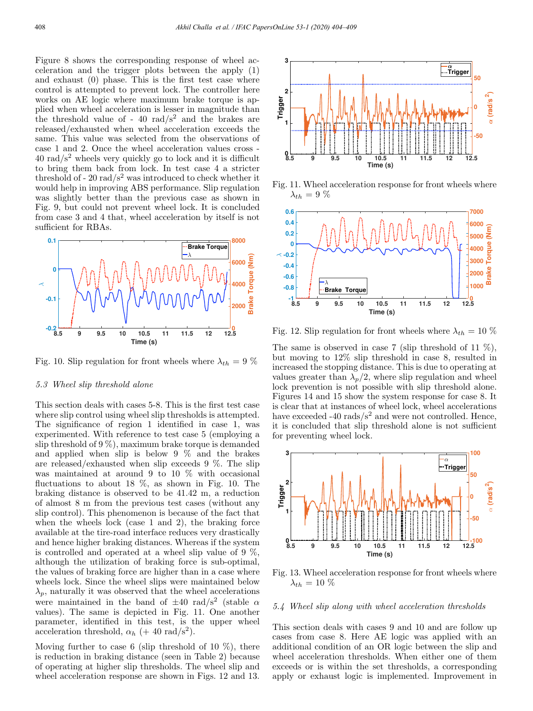Figure 8 shows the corresponding response of wheel acceleration and the trigger plots between the apply (1) and exhaust (0) phase. This is the first test case where control is attempted to prevent lock. The controller here works on AE logic where maximum brake torque is applied when wheel acceleration is lesser in magnitude than the threshold value of - 40  $\text{rad/s}^2$  and the brakes are released/exhausted when wheel acceleration exceeds the same. This value was selected from the observations of case 1 and 2. Once the wheel acceleration values cross -  $40 \text{ rad/s}^2$  wheels very quickly go to lock and it is difficult to bring them back from lock. In test case 4 a stricter threshold of - 20  $\text{rad/s}^2$  was introduced to check whether it would help in improving ABS performance. Slip regulation was slightly better than the previous case as shown in Fig. 9, but could not prevent wheel lock. It is concluded from case 3 and 4 that, wheel acceleration by itself is not sufficient for RBAs.



Fig. 10. Slip regulation for front wheels where  $\lambda_{th} = 9 \%$ 

## *5.3 Wheel slip threshold alone*

This section deals with cases 5-8. This is the first test case where slip control using wheel slip thresholds is attempted. The significance of region 1 identified in case 1, was experimented. With reference to test case 5 (employing a slip threshold of 9 %), maximum brake torque is demanded and applied when slip is below 9 % and the brakes are released/exhausted when slip exceeds 9 %. The slip was maintained at around 9 to 10 % with occasional fluctuations to about 18 %, as shown in Fig. 10. The braking distance is observed to be 41.42 m, a reduction of almost 8 m from the previous test cases (without any slip control). This phenomenon is because of the fact that when the wheels lock (case 1 and 2), the braking force available at the tire-road interface reduces very drastically and hence higher braking distances. Whereas if the system is controlled and operated at a wheel slip value of 9 %, although the utilization of braking force is sub-optimal, the values of braking force are higher than in a case where wheels lock. Since the wheel slips were maintained below  $\lambda_p$ , naturally it was observed that the wheel accelerations were maintained in the band of  $\pm 40$  rad/s<sup>2</sup> (stable  $\alpha$ values). The same is depicted in Fig. 11. One another parameter, identified in this test, is the upper wheel acceleration threshold,  $\alpha_h$  (+ 40 rad/s<sup>2</sup>).

Moving further to case 6 (slip threshold of 10  $\%$ ), there is reduction in braking distance (seen in Table 2) because of operating at higher slip thresholds. The wheel slip and wheel acceleration response are shown in Figs. 12 and 13.



Fig. 11. Wheel acceleration response for front wheels where  $\lambda_{th} = 9\%$ 



Fig. 12. Slip regulation for front wheels where  $\lambda_{th} = 10\%$ 

The same is observed in case 7 (slip threshold of 11 %), but moving to 12% slip threshold in case 8, resulted in increased the stopping distance. This is due to operating at values greater than  $\lambda_p/2$ , where slip regulation and wheel lock prevention is not possible with slip threshold alone. Figures 14 and 15 show the system response for case 8. It is clear that at instances of wheel lock, wheel accelerations have exceeded -40 rads/s<sup>2</sup> and were not controlled. Hence, it is concluded that slip threshold alone is not sufficient for preventing wheel lock.



Fig. 13. Wheel acceleration response for front wheels where  $\lambda_{th} = 10\%$ 

## *5.4 Wheel slip along with wheel acceleration thresholds*

This section deals with cases 9 and 10 and are follow up cases from case 8. Here AE logic was applied with an additional condition of an OR logic between the slip and wheel acceleration thresholds. When either one of them exceeds or is within the set thresholds, a corresponding apply or exhaust logic is implemented. Improvement in